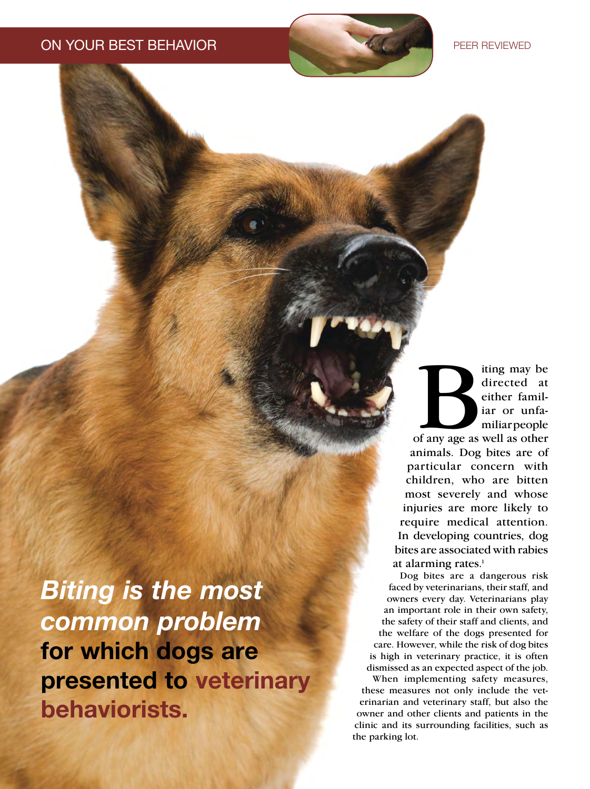*Biting is the most*  for which dogs are presented to veterinary behaviorists.

ting may be<br>directed at<br>either familiar or unfa-<br>miliar people<br>of any age as well as other iting may be directed at either familiar or unfamiliar people animals. Dog bites are of particular concern with children, who are bitten most severely and whose injuries are more likely to require medical attention. In developing countries, dog bites are associated with rabies at alarming rates. $<sup>1</sup>$ </sup>

Dog bites are a dangerous risk faced by veterinarians, their staff, and owners every day. Veterinarians play an important role in their own safety, the safety of their staff and clients, and the welfare of the dogs presented for care. However, while the risk of dog bites is high in veterinary practice, it is often dismissed as an expected aspect of the job.

When implementing safety measures, these measures not only include the veterinarian and veterinary staff, but also the owner and other clients and patients in the clinic and its surrounding facilities, such as the parking lot.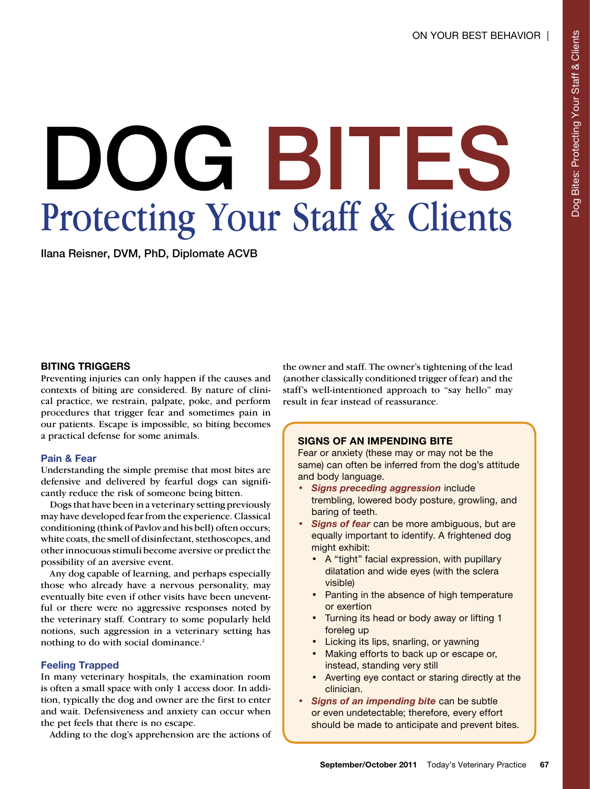# Protecting Your Staff & Clients Protecting Your Staff & Clients

 $\sum_{i=1}^{n}$ 

## BITING TRIGGERS

Preventing injuries can only happen if the causes and contexts of biting are considered. By nature of clinical practice, we restrain, palpate, poke, and perform procedures that trigger fear and sometimes pain in our patients. Escape is impossible, so biting becomes a practical defense for some animals.

# Pain & Fear

Understanding the simple premise that most bites are defensive and delivered by fearful dogs can significantly reduce the risk of someone being bitten.

Dogs that have been in a veterinary setting previously may have developed fear from the experience. Classical conditioning (think of Pavlov and his bell) often occurs; white coats, the smell of disinfectant, stethoscopes, and other innocuous stimuli become aversive or predict the possibility of an aversive event.

Any dog capable of learning, and perhaps especially those who already have a nervous personality, may eventually bite even if other visits have been uneventful or there were no aggressive responses noted by the veterinary staff. Contrary to some popularly held notions, such aggression in a veterinary setting has nothing to do with social dominance.<sup>2</sup>

# Feeling Trapped

In many veterinary hospitals, the examination room is often a small space with only 1 access door. In addition, typically the dog and owner are the first to enter and wait. Defensiveness and anxiety can occur when the pet feels that there is no escape.

Adding to the dog's apprehension are the actions of

the owner and staff. The owner's tightening of the lead (another classically conditioned trigger of fear) and the staff's well-intentioned approach to "say hello" may result in fear instead of reassurance.

# SIGNS OF AN IMPENDING BITE

Fear or anxiety (these may or may not be the same) can often be inferred from the dog's attitude and body language.

- **Signs preceding aggression include** trembling, lowered body posture, growling, and baring of teeth.
- **Signs of fear** can be more ambiguous, but are equally important to identify. A frightened dog might exhibit:
	- A "tight" facial expression, with pupillary dilatation and wide eyes (with the sclera visible)
	- Panting in the absence of high temperature or exertion
	- Turning its head or body away or lifting 1 foreleg up
	- Licking its lips, snarling, or yawning
	- Making efforts to back up or escape or, instead, standing very still
	- Averting eye contact or staring directly at the clinician.
- **Signs of an impending bite** can be subtle or even undetectable; therefore, every effort should be made to anticipate and prevent bites.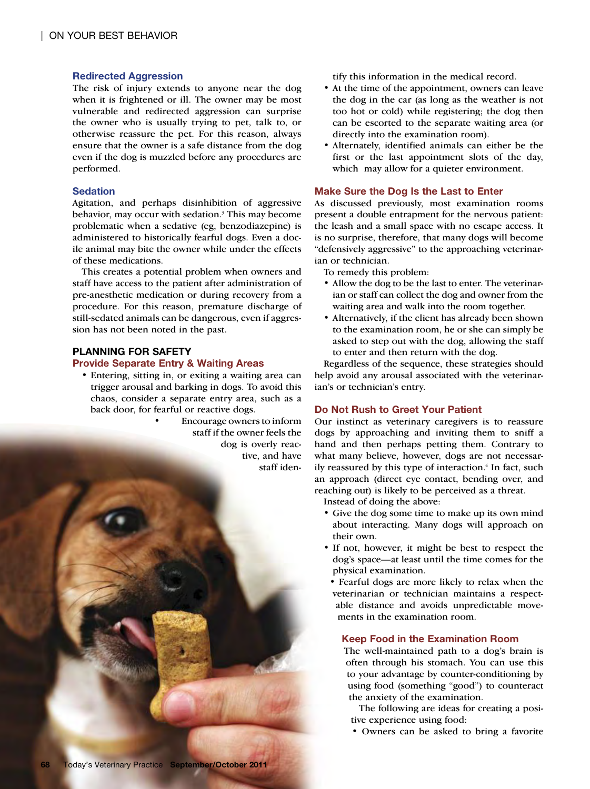### Redirected Aggression

The risk of injury extends to anyone near the dog when it is frightened or ill. The owner may be most vulnerable and redirected aggression can surprise the owner who is usually trying to pet, talk to, or otherwise reassure the pet. For this reason, always ensure that the owner is a safe distance from the dog even if the dog is muzzled before any procedures are performed.

#### **Sedation**

Agitation, and perhaps disinhibition of aggressive behavior, may occur with sedation.<sup>3</sup> This may become problematic when a sedative (eg, benzodiazepine) is administered to historically fearful dogs. Even a docile animal may bite the owner while under the effects of these medications.

This creates a potential problem when owners and staff have access to the patient after administration of pre-anesthetic medication or during recovery from a procedure. For this reason, premature discharge of still-sedated animals can be dangerous, even if aggression has not been noted in the past.

## PLANNING FOR SAFETY

#### Provide Separate Entry & Waiting Areas

- Entering, sitting in, or exiting a waiting area can trigger arousal and barking in dogs. To avoid this chaos, consider a separate entry area, such as a back door, for fearful or reactive dogs.
	- Encourage owners to inform staff if the owner feels the dog is overly reactive, and have staff iden-

tify this information in the medical record.

- At the time of the appointment, owners can leave the dog in the car (as long as the weather is not too hot or cold) while registering; the dog then can be escorted to the separate waiting area (or directly into the examination room).
- Alternately, identified animals can either be the first or the last appointment slots of the day, which may allow for a quieter environment.

#### Make Sure the Dog Is the Last to Enter

As discussed previously, most examination rooms present a double entrapment for the nervous patient: the leash and a small space with no escape access. It is no surprise, therefore, that many dogs will become "defensively aggressive" to the approaching veterinarian or technician.

To remedy this problem:

- Allow the dog to be the last to enter. The veterinarian or staff can collect the dog and owner from the waiting area and walk into the room together.
- Alternatively, if the client has already been shown to the examination room, he or she can simply be asked to step out with the dog, allowing the staff to enter and then return with the dog.

Regardless of the sequence, these strategies should help avoid any arousal associated with the veterinarian's or technician's entry.

#### Do Not Rush to Greet Your Patient

Our instinct as veterinary caregivers is to reassure dogs by approaching and inviting them to sniff a hand and then perhaps petting them. Contrary to what many believe, however, dogs are not necessarily reassured by this type of interaction.<sup>4</sup> In fact, such an approach (direct eye contact, bending over, and reaching out) is likely to be perceived as a threat.

Instead of doing the above:

- Give the dog some time to make up its own mind about interacting. Many dogs will approach on their own.
- If not, however, it might be best to respect the dog's space—at least until the time comes for the physical examination.

• Fearful dogs are more likely to relax when the veterinarian or technician maintains a respectable distance and avoids unpredictable movements in the examination room.

#### Keep Food in the Examination Room

The well-maintained path to a dog's brain is often through his stomach. You can use this to your advantage by counter-conditioning by using food (something "good") to counteract the anxiety of the examination.

The following are ideas for creating a positive experience using food:

• Owners can be asked to bring a favorite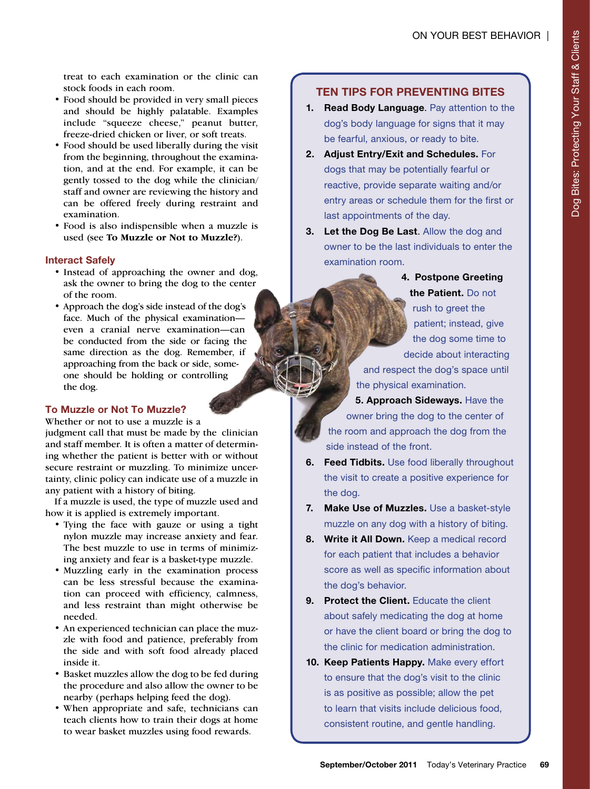treat to each examination or the clinic can stock foods in each room.

- Food should be provided in very small pieces and should be highly palatable. Examples include "squeeze cheese," peanut butter, freeze-dried chicken or liver, or soft treats.
- Food should be used liberally during the visit from the beginning, throughout the examination, and at the end. For example, it can be gently tossed to the dog while the clinician/ staff and owner are reviewing the history and can be offered freely during restraint and examination.
- Food is also indispensible when a muzzle is used (see **To Muzzle or Not to Muzzle?**).

## Interact Safely

- Instead of approaching the owner and dog, ask the owner to bring the dog to the center of the room.
- Approach the dog's side instead of the dog's face. Much of the physical examination even a cranial nerve examination—can be conducted from the side or facing the same direction as the dog. Remember, if approaching from the back or side, someone should be holding or controlling the dog.

# To Muzzle or Not To Muzzle?

Whether or not to use a muzzle is a judgment call that must be made by the clinician and staff member. It is often a matter of determining whether the patient is better with or without secure restraint or muzzling. To minimize uncertainty, clinic policy can indicate use of a muzzle in any patient with a history of biting.

If a muzzle is used, the type of muzzle used and how it is applied is extremely important.

- Tying the face with gauze or using a tight nylon muzzle may increase anxiety and fear. The best muzzle to use in terms of minimizing anxiety and fear is a basket-type muzzle.
- Muzzling early in the examination process can be less stressful because the examination can proceed with efficiency, calmness, and less restraint than might otherwise be needed.
- An experienced technician can place the muzzle with food and patience, preferably from the side and with soft food already placed inside it.
- Basket muzzles allow the dog to be fed during the procedure and also allow the owner to be nearby (perhaps helping feed the dog).
- When appropriate and safe, technicians can teach clients how to train their dogs at home to wear basket muzzles using food rewards.

# TEN TIPS FOR PREvENTING BITES

- 1. Read Body Language. Pay attention to the dog's body language for signs that it may be fearful, anxious, or ready to bite.
- 2. Adjust Entry/Exit and Schedules. For dogs that may be potentially fearful or reactive, provide separate waiting and/or entry areas or schedule them for the first or last appointments of the day.
- 3. Let the Dog Be Last. Allow the dog and owner to be the last individuals to enter the examination room.
	- 4. Postpone Greeting the Patient. Do not rush to greet the patient; instead, give the dog some time to decide about interacting and respect the dog's space until the physical examination.
	- 5. Approach Sideways. Have the owner bring the dog to the center of the room and approach the dog from the side instead of the front.
- 6. Feed Tidbits. Use food liberally throughout the visit to create a positive experience for the dog.
- 7. Make Use of Muzzles. Use a basket-style muzzle on any dog with a history of biting.
- 8. Write it All Down. Keep a medical record for each patient that includes a behavior score as well as specific information about the dog's behavior.
- 9. Protect the Client. Educate the client about safely medicating the dog at home or have the client board or bring the dog to the clinic for medication administration.
- 10. Keep Patients Happy. Make every effort to ensure that the dog's visit to the clinic is as positive as possible; allow the pet to learn that visits include delicious food, consistent routine, and gentle handling.